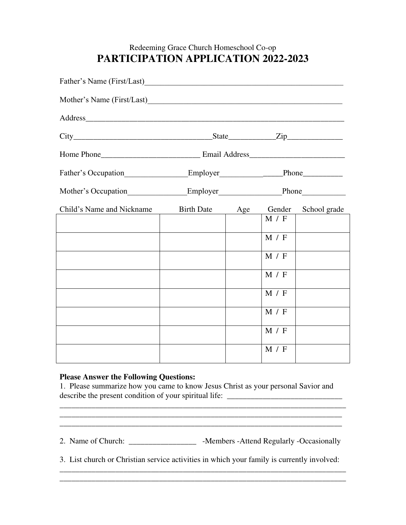## Redeeming Grace Church Homeschool Co-op **PARTICIPATION APPLICATION 2022-2023**

| Father's Name (First/Last)                                                               |                                    |  |         |  |
|------------------------------------------------------------------------------------------|------------------------------------|--|---------|--|
|                                                                                          |                                    |  |         |  |
|                                                                                          |                                    |  |         |  |
| $City$ $City$ $Step$ $Line$ $Zip$                                                        |                                    |  |         |  |
|                                                                                          |                                    |  |         |  |
| Father's Occupation_____________________Employer______________________Phone_____________ |                                    |  |         |  |
| Mother's Occupation____________________Employer__________________________________        |                                    |  |         |  |
| Child's Name and Nickname                                                                | Birth Date Age Gender School grade |  |         |  |
|                                                                                          |                                    |  | M / F   |  |
|                                                                                          |                                    |  | M / F   |  |
|                                                                                          |                                    |  | M / F   |  |
|                                                                                          |                                    |  | $M / F$ |  |
|                                                                                          |                                    |  | M / F   |  |
|                                                                                          |                                    |  | M / F   |  |
|                                                                                          |                                    |  | M / F   |  |
|                                                                                          |                                    |  |         |  |
|                                                                                          |                                    |  | M / F   |  |

## **Please Answer the Following Questions:**

\_\_\_\_\_\_\_\_\_\_\_\_\_\_\_\_\_\_\_\_\_\_\_\_\_\_\_\_\_\_\_\_\_\_\_\_\_\_\_\_\_\_\_\_\_\_\_\_\_\_\_\_\_\_\_\_\_\_\_\_\_\_\_\_\_\_\_\_\_\_\_\_

1. Please summarize how you came to know Jesus Christ as your personal Savior and describe the present condition of your spiritual life: \_\_\_\_\_\_\_\_\_\_\_\_\_\_\_\_\_\_\_\_\_\_\_\_\_\_

2. Name of Church: \_\_\_\_\_\_\_\_\_\_\_\_\_\_\_\_\_\_\_\_\_\_\_\_\_ -Members -Attend Regularly -Occasionally

\_\_\_\_\_\_\_\_\_\_\_\_\_\_\_\_\_\_\_\_\_\_\_\_\_\_\_\_\_\_\_\_\_\_\_\_\_\_\_\_\_\_\_\_\_\_\_\_\_\_\_\_\_\_\_\_\_\_\_\_\_\_\_\_\_\_\_\_\_\_\_

3. List church or Christian service activities in which your family is currently involved: \_\_\_\_\_\_\_\_\_\_\_\_\_\_\_\_\_\_\_\_\_\_\_\_\_\_\_\_\_\_\_\_\_\_\_\_\_\_\_\_\_\_\_\_\_\_\_\_\_\_\_\_\_\_\_\_\_\_\_\_\_\_\_\_\_\_\_\_\_\_\_\_

\_\_\_\_\_\_\_\_\_\_\_\_\_\_\_\_\_\_\_\_\_\_\_\_\_\_\_\_\_\_\_\_\_\_\_\_\_\_\_\_\_\_\_\_\_\_\_\_\_\_\_\_\_\_\_\_\_\_\_\_\_\_\_\_\_\_\_\_\_\_\_\_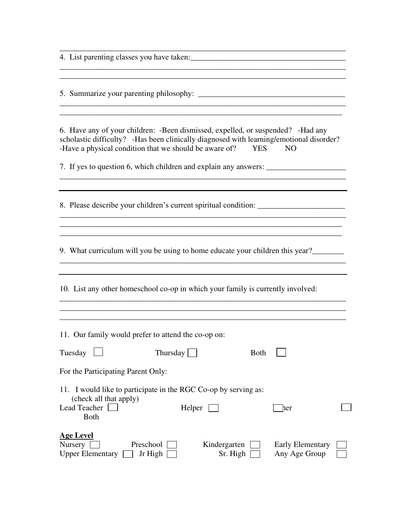4. List parenting classes you have taken:\_\_\_\_\_\_\_\_\_\_\_\_\_\_\_\_\_\_\_\_\_\_\_\_\_\_\_\_\_\_\_\_\_\_\_\_\_\_\_

5. Summarize your parenting philosophy: \_\_\_\_\_\_\_\_\_\_\_\_\_\_\_\_\_\_\_\_\_\_\_\_\_\_\_\_\_\_\_\_\_\_\_\_\_

\_\_\_\_\_\_\_\_\_\_\_\_\_\_\_\_\_\_\_\_\_\_\_\_\_\_\_\_\_\_\_\_\_\_\_\_\_\_\_\_\_\_\_\_\_\_\_\_\_\_\_\_\_\_\_\_\_\_\_\_\_\_\_\_\_\_\_\_\_\_\_\_

6. Have any of your children: -Been dismissed, expelled, or suspended? -Had any scholastic difficulty? -Has been clinically diagnosed with learning/emotional disorder? -Have a physical condition that we should be aware of? YES NO

\_\_\_\_\_\_\_\_\_\_\_\_\_\_\_\_\_\_\_\_\_\_\_\_\_\_\_\_\_\_\_\_\_\_\_\_\_\_\_\_\_\_\_\_\_\_\_\_\_\_\_\_\_\_\_\_\_\_\_\_\_\_\_\_\_\_\_\_\_\_\_

\_\_\_\_\_\_\_\_\_\_\_\_\_\_\_\_\_\_\_\_\_\_\_\_\_\_\_\_\_\_\_\_\_\_\_\_\_\_\_\_\_\_\_\_\_\_\_\_\_\_\_\_\_\_\_\_\_\_\_\_\_\_\_\_\_\_\_\_\_\_\_\_

\_\_\_\_\_\_\_\_\_\_\_\_\_\_\_\_\_\_\_\_\_\_\_\_\_\_\_\_\_\_\_\_\_\_\_\_\_\_\_\_\_\_\_\_\_\_\_\_\_\_\_\_\_\_\_\_\_\_\_\_\_\_\_\_\_\_\_\_\_\_\_\_

\_\_\_\_\_\_\_\_\_\_\_\_\_\_\_\_\_\_\_\_\_\_\_\_\_\_\_\_\_\_\_\_\_\_\_\_\_\_\_\_\_\_\_\_\_\_\_\_\_\_\_\_\_\_\_\_\_\_\_\_\_\_\_\_\_\_\_\_\_\_\_\_

\_\_\_\_\_\_\_\_\_\_\_\_\_\_\_\_\_\_\_\_\_\_\_\_\_\_\_\_\_\_\_\_\_\_\_\_\_\_\_\_\_\_\_\_\_\_\_\_\_\_\_\_\_\_\_\_\_\_\_\_\_\_\_\_\_\_\_\_\_\_\_\_

7. If yes to question 6, which children and explain any answers: \_\_\_\_\_\_\_\_\_\_\_\_\_\_\_\_

8. Please describe your children's current spiritual condition: \_\_\_\_\_\_\_\_\_\_\_\_\_\_\_\_\_

9. What curriculum will you be using to home educate your children this year?

\_\_\_\_\_\_\_\_\_\_\_\_\_\_\_\_\_\_\_\_\_\_\_\_\_\_\_\_\_\_\_\_\_\_\_\_\_\_\_\_\_\_\_\_\_\_\_\_\_\_\_\_\_\_\_\_\_\_\_\_\_\_\_\_\_\_\_\_\_\_\_\_

\_\_\_\_\_\_\_\_\_\_\_\_\_\_\_\_\_\_\_\_\_\_\_\_\_\_\_\_\_\_\_\_\_\_\_\_\_\_\_\_\_\_\_\_\_\_\_\_\_\_\_\_\_\_\_\_\_\_\_\_\_\_\_\_\_\_\_\_\_\_\_\_

\_\_\_\_\_\_\_\_\_\_\_\_\_\_\_\_\_\_\_\_\_\_\_\_\_\_\_\_\_\_\_\_\_\_\_\_\_\_\_\_\_\_\_\_\_\_\_\_\_\_\_\_\_\_\_\_\_\_\_\_\_\_\_\_\_\_\_\_\_\_\_\_

\_\_\_\_\_\_\_\_\_\_\_\_\_\_\_\_\_\_\_\_\_\_\_\_\_\_\_\_\_\_\_\_\_\_\_\_\_\_\_\_\_\_\_\_\_\_\_\_\_\_\_\_\_\_\_\_\_\_\_\_\_\_\_\_\_\_\_\_\_\_\_

\_\_\_\_\_\_\_\_\_\_\_\_\_\_\_\_\_\_\_\_\_\_\_\_\_\_\_\_\_\_\_\_\_\_\_\_\_\_\_\_\_\_\_\_\_\_\_\_\_\_\_\_\_\_\_\_\_\_\_\_\_\_\_\_\_\_\_\_\_\_\_\_

10. List any other homeschool co-op in which your family is currently involved:

| 11. Our family would prefer to attend the co-op on: |          |                    |  |  |
|-----------------------------------------------------|----------|--------------------|--|--|
| Tuesday $\Box$                                      | Thursday | Both $\vert \vert$ |  |  |
| For the Participating Parent Only:                  |          |                    |  |  |

11. I would like to participate in the RGC Co-op by serving as: (check all that apply) Lead Teacher Einstein Helper Einstelle Helper Einer Both

| <b>Age Level</b>                       |                  |                                      |                                       |
|----------------------------------------|------------------|--------------------------------------|---------------------------------------|
| Nursery $\Box$                         | Preschool $\Box$ | Kindergarten $\Box$ Early Elementary |                                       |
| Upper Elementary $\Box$ Jr High $\Box$ |                  |                                      | $\text{Sr. High } \Box$ Any Age Group |